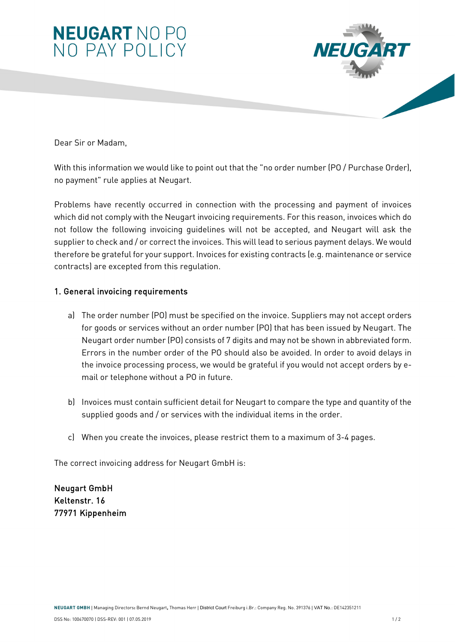



Dear Sir or Madam,

With this information we would like to point out that the "no order number (PO / Purchase Order), no payment" rule applies at Neugart.

Problems have recently occurred in connection with the processing and payment of invoices which did not comply with the Neugart invoicing requirements. For this reason, invoices which do not follow the following invoicing guidelines will not be accepted, and Neugart will ask the supplier to check and / or correct the invoices. This will lead to serious payment delays. We would therefore be grateful for your support. Invoices for existing contracts (e.g. maintenance or service contracts) are excepted from this regulation.

## 1. General invoicing requirements

- a) The order number (PO) must be specified on the invoice. Suppliers may not accept orders for goods or services without an order number (PO) that has been issued by Neugart. The Neugart order number (PO) consists of 7 digits and may not be shown in abbreviated form. Errors in the number order of the PO should also be avoided. In order to avoid delays in the invoice processing process, we would be grateful if you would not accept orders by email or telephone without a PO in future.
- b) Invoices must contain sufficient detail for Neugart to compare the type and quantity of the supplied goods and / or services with the individual items in the order.
- c) When you create the invoices, please restrict them to a maximum of 3-4 pages.

The correct invoicing address for Neugart GmbH is:

Neugart GmbH Keltenstr. 16 77971 Kippenheim